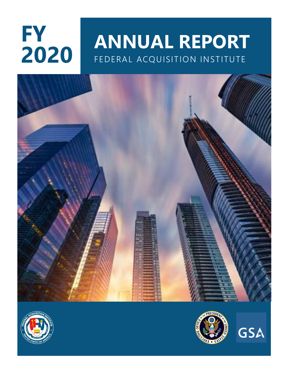# **FY 2020**

# **ANNUAL REPORT** FEDERAL ACQUISITION INSTITUTE







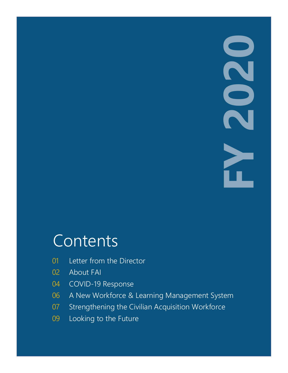# **FY**

# Contents

- Letter from the Director
- 02 About FAI
- COVID-19 Response
- A New Workforce & Learning Management System
- Strengthening the Civilian Acquisition Workforce
- Looking to the Future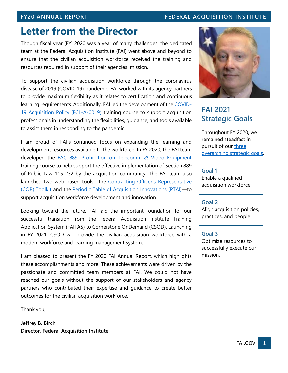# **FY20 ANNUAL REPORT FEDERAL ACQUISITION INSTITUTE**

# **Letter from the Director**

Though fiscal year (FY) 2020 was a year of many challenges, the dedicated team at the Federal Acquisition Institute (FAI) went above and beyond to ensure that the civilian acquisition workforce received the training and resources required in support of their agencies' mission.

To support the civilian acquisition workforce through the coronavirus disease of 2019 (COVID-19) pandemic, FAI worked with its agency partners to provide maximum flexibility as it relates to certification and continuous learning requirements. Additionally, FAI led the development of the [COVID-](https://faitas.army.mil/Faitas/External/Courses/Search/Results/Details/FCL-A-0019)[19 Acquisition Policy \(FCL-A-0019\)](https://faitas.army.mil/Faitas/External/Courses/Search/Results/Details/FCL-A-0019) training course to support acquisition professionals in understanding the flexibilities, guidance, and tools available to assist them in responding to the pandemic.

I am proud of FAI's continued focus on expanding the learning and development resources available to the workforce. In FY 2020, the FAI team developed the [FAC 889: Prohibition on Telecomm & Video Equipment](https://faitas.army.mil/Faitas/External/Courses/Search/Results/Details/FAC%20889%20_~11~_FED_~12~_) training course to help support the effective implementation of Section 889 of Public Law 115-232 by the acquisition community. The FAI team also launched two web-based tools—the [Contracting Officer's Representative](https://www.fai.gov/resources/COR-toolkit)  [\(COR\) Toolkit](https://www.fai.gov/resources/COR-toolkit) and the [Periodic Table of Acquisition Innovations \(PTAI\)](https://www.fai.gov/periodic-table)—to support acquisition workforce development and innovation.

Looking toward the future, FAI laid the important foundation for our successful transition from the Federal Acquisition Institute Training Application System (FAITAS) to Cornerstone OnDemand (CSOD). Launching in FY 2021, CSOD will provide the civilian acquisition workforce with a modern workforce and learning management system.

I am pleased to present the FY 2020 FAI Annual Report, which highlights these accomplishments and more. These achievements were driven by the passionate and committed team members at FAI. We could not have reached our goals without the support of our stakeholders and agency partners who contributed their expertise and guidance to create better outcomes for the civilian acquisition workforce.

Thank you,

**Jeffrey B. Birch Director, Federal Acquisition Institute** 



# **FAI 2021 Strategic Goals**

Throughout FY 2020, we remained steadfast in pursuit of our [three](https://www.fai.gov/sites/default/files/2017-2-23-FAI-2021.pdf)  [overarching strategic goals.](https://www.fai.gov/sites/default/files/2017-2-23-FAI-2021.pdf)

### **Goal 1**

Enable a qualified acquisition workforce.

### **Goal 2**

Align acquisition policies, practices, and people.

### **Goal 3**

Optimize resources to successfully execute our mission.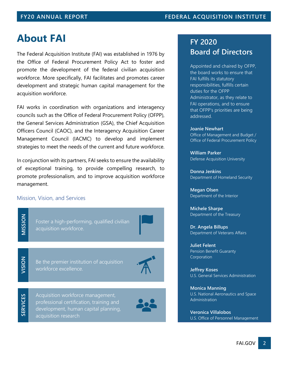# **About FAI**

The Federal Acquisition Institute (FAI) was established in 1976 by the Office of Federal Procurement Policy Act to foster and promote the development of the federal civilian acquisition workforce. More specifically, FAI facilitates and promotes career development and strategic human capital management for the acquisition workforce.

FAI works in coordination with organizations and interagency councils such as the Office of Federal Procurement Policy (OFPP), the General Services Administration (GSA), the Chief Acquisition Officers Council (CAOC), and the Interagency Acquisition Career Management Council (IACMC) to develop and implement strategies to meet the needs of the current and future workforce.

In conjunction with its partners, FAI seeks to ensure the availability of exceptional training, to provide compelling research, to promote professionalism, and to improve acquisition workforce management.

### Mission, Vision, and Services

Foster a high-performing, qualified civilian **z**<br>**O** Foster a high-perform<br>**M** acquisition workforce.<br>**N** 

**Be the premier institution of acquisition**<br> **V** Workforce excellence.



**SERVICES**

Acquisition workforce management, professional certification, training and development, human capital planning, acquisition research

# **FY 2020 Board of Directors**

Appointed and chaired by OFPP, the board works to ensure that FAI fulfills its statutory responsibilities, fulfills certain duties for the OFPP Administrator, as they relate to FAI operations, and to ensure that OFPP's priorities are being addressed.

**Joanie Newhart** Office of Management and Budget / Office of Federal Procurement Policy

**William Parker** Defense Acquisition University

**Donna Jenkins** Department of Homeland Security

**Megan Olsen** Department of the Interior

**Michele Sharpe** Department of the Treasury

**Dr. Angela Billups** Department of Veterans Affairs

**Juliet Felent** Pension Benefit Guaranty Corporation

**Jeffrey Koses** U.S. General Services Administration

**Monica Manning** U.S. National Aeronautics and Space Administration

**Veronica Villalobos** U.S. Office of Personnel Management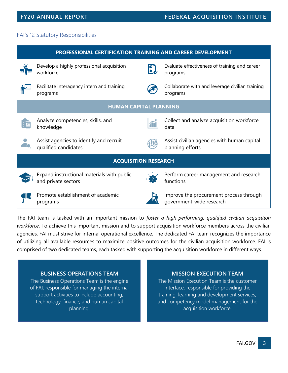# FAI's 12 Statutory Responsibilities

| PROFESSIONAL CERTIFICATION TRAINING AND CAREER DEVELOPMENT |                                                                   |              |                                                                     |
|------------------------------------------------------------|-------------------------------------------------------------------|--------------|---------------------------------------------------------------------|
|                                                            | Develop a highly professional acquisition<br>workforce            | $\mathbf{E}$ | Evaluate effectiveness of training and career<br>programs           |
|                                                            | Facilitate interagency intern and training<br>programs            |              | Collaborate with and leverage civilian training<br>programs         |
| <b>HUMAN CAPITAL PLANNING</b>                              |                                                                   |              |                                                                     |
|                                                            | Analyze competencies, skills, and<br>knowledge                    | 而            | Collect and analyze acquisition workforce<br>data                   |
|                                                            | Assist agencies to identify and recruit<br>qualified candidates   |              | Assist civilian agencies with human capital<br>planning efforts     |
| <b>ACQUISITION RESEARCH</b>                                |                                                                   |              |                                                                     |
|                                                            | Expand instructional materials with public<br>and private sectors |              | Perform career management and research<br>functions                 |
|                                                            | Promote establishment of academic<br>programs                     |              | Improve the procurement process through<br>government-wide research |

The FAI team is tasked with an important mission to *foster a high-performing, qualified civilian acquisition workforce*. To achieve this important mission and to support acquisition workforce members across the civilian agencies, FAI must strive for internal operational excellence. The dedicated FAI team recognizes the importance of utilizing all available resources to maximize positive outcomes for the civilian acquisition workforce. FAI is comprised of two dedicated teams, each tasked with supporting the acquisition workforce in different ways.

### **BUSINESS OPERATIONS TEAM**

The Business Operations Team is the engine of FAI, responsible for managing the internal support activities to include accounting, technology, finance, and human capital planning.

### **MISSION EXECUTION TEAM**

The Mission Execution Team is the customer interface, responsible for providing the training, learning and development services, and competency model management for the acquisition workforce.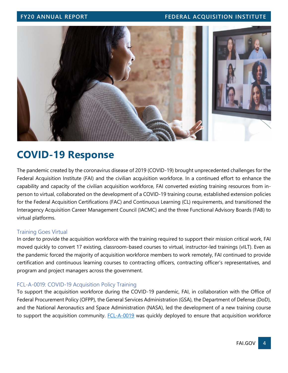# **FY20 ANNUAL REPORT FEDERAL ACQUISITION INSTITUTE**



# **COVID-19 Response**

The pandemic created by the coronavirus disease of 2019 (COVID-19) brought unprecedented challenges for the Federal Acquisition Institute (FAI) and the civilian acquisition workforce. In a continued effort to enhance the capability and capacity of the civilian acquisition workforce, FAI converted existing training resources from inperson to virtual, collaborated on the development of a COVID-19 training course, established extension policies for the Federal Acquisition Certifications (FAC) and Continuous Learning (CL) requirements, and transitioned the Interagency Acquisition Career Management Council (IACMC) and the three Functional Advisory Boards (FAB) to virtual platforms.

### Training Goes Virtual

In order to provide the acquisition workforce with the training required to support their mission critical work, FAI moved quickly to convert 17 existing, classroom-based courses to virtual, instructor-led trainings (vILT). Even as the pandemic forced the majority of acquisition workforce members to work remotely, FAI continued to provide certification and continuous learning courses to contracting officers, contracting officer's representatives, and program and project managers across the government.

## FCL-A-0019: COVID-19 Acquisition Policy Training

To support the acquisition workforce during the COVID-19 pandemic, FAI, in collaboration with the Office of Federal Procurement Policy (OFPP), the General Services Administration (GSA), the Department of Defense (DoD), and the National Aeronautics and Space Administration (NASA), led the development of a new training course to support the acquisition community. **FCL-A-0019** was quickly deployed to ensure that acquisition workforce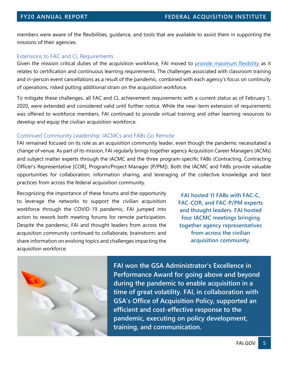members were aware of the flexibilities, guidance, and tools that are available to assist them in supporting the missions of their agencies.

### Extensions to FAC and CL Requirements

Given the mission critical duties of the acquisition workforce, FAI moved to [provide maximum flexibility](https://www.fai.gov/announcements/extensions-federal-acquisition-certifications-fac-and-continuous-learning-cl) as it relates to certification and continuous learning requirements. The challenges associated with classroom training and in-person event cancellations as a result of the pandemic, combined with each agency's focus on continuity of operations, risked putting additional strain on the acquisition workforce.

To mitigate these challenges, all FAC and CL achievement requirements with a current status as of February 1, 2020, were extended and considered valid until further notice. While the near-term extension of requirements was offered to workforce members, FAI continued to provide virtual training and other learning resources to develop and equip the civilian acquisition workforce.

### Continued Community Leadership: IACMCs and FABs Go Remote

FAI remained focused on its role as an acquisition community leader, even though the pandemic necessitated a change of venue. As part of its mission, FAI regularly brings together agency Acquisition Career Managers (ACMs) and subject matter experts through the IACMC and the three program-specific FABs (Contracting, Contracting Officer's Representative [COR], Program/Project Manager [P/PM]). Both the IACMC and FABs provide valuable opportunities for collaboration, information sharing, and leveraging of the collective knowledge and best practices from across the federal acquisition community.

Recognizing the importance of these forums and the opportunity to leverage the networks to support the civilian acquisition workforce through the COVID-19 pandemic, FAI jumped into action to rework both meeting forums for remote participation. Despite the pandemic, FAI and thought leaders from across the acquisition community continued to collaborate, brainstorm, and share information on evolving topics and challenges impacting the acquisition workforce.

**FAI hosted 11 FABs with FAC-C, FAC-COR, and FAC-P/PM experts and thought leaders. FAI hosted four IACMC meetings bringing together agency representatives from across the civilian acquisition community.**



**FAI won the GSA Administrator's Excellence in Performance Award for going above and beyond during the pandemic to enable acquisition in a time of great volatility. FAI, in collaboration with GSA's Office of Acquisition Policy, supported an efficient and cost-effective response to the pandemic, executing on policy development, training, and communication.**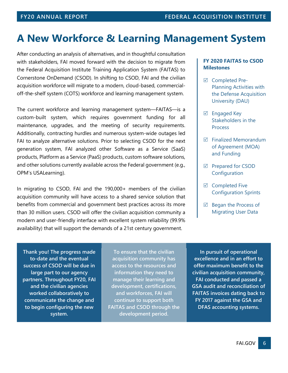# **A New Workforce & Learning Management System**

After conducting an analysis of alternatives, and in thoughtful consultation with stakeholders, FAI moved forward with the decision to migrate from the Federal Acquisition Institute Training Application System (FAITAS) to Cornerstone OnDemand (CSOD). In shifting to CSOD, FAI and the civilian acquisition workforce will migrate to a modern, cloud-based, commercialoff-the-shelf system (COTS) workforce and learning management system.

The current workforce and learning management system—FAITAS—is a custom-built system, which requires government funding for all maintenance, upgrades, and the meeting of security requirements. Additionally, contracting hurdles and numerous system-wide outages led FAI to analyze alternative solutions. Prior to selecting CSOD for the next generation system, FAI analyzed other Software as a Service (SaaS) products, Platform as a Service (PaaS) products, custom software solutions, and other solutions currently available across the Federal government (e.g., OPM's USALearning).

In migrating to CSOD, FAI and the 190,000+ members of the civilian acquisition community will have access to a shared service solution that benefits from commercial and government best practices across its more than 30 million users. CSOD will offer the civilian acquisition community a modern and user-friendly interface with excellent system reliability (99.9% availability) that will support the demands of a 21st century government.

### **FY 2020 FAITAS to CSOD Milestones**

- $✓$  Completed Pre-Planning Activities with the Defense Acquisition University (DAU)
- $\boxtimes$  Engaged Key Stakeholders in the Process
- $\boxtimes$  Finalized Memorandum of Agreement (MOA) and Funding
- $\boxtimes$  Prepared for CSOD **Configuration**
- $\boxtimes$  Completed Five Configuration Sprints
- $\boxtimes$  Began the Process of Migrating User Data

**Thank you! The progress made to-date and the eventual success of CSOD will be due in large part to our agency partners. Throughout FY20, FAI and the civilian agencies worked collaboratively to communicate the change and to begin configuring the new system.**

**To ensure that the civilian acquisition community has access to the resources and information they need to manage their learning and development, certifications, and workforces, FAI will continue to support both FAITAS and CSOD through the development period.**

**In pursuit of operational excellence and in an effort to offer maximum benefit to the civilian acquisition community, FAI conducted and passed a GSA audit and reconciliation of FAITAS invoices dating back to FY 2017 against the GSA and DFAS accounting systems.**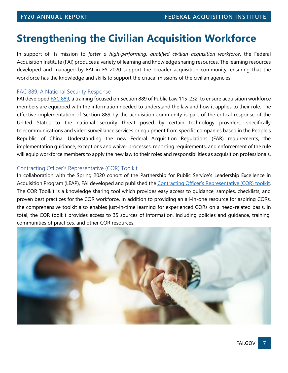# **Strengthening the Civilian Acquisition Workforce**

In support of its mission to *foster a high-performing, qualified civilian acquisition workforce*, the Federal Acquisition Institute (FAI) produces a variety of learning and knowledge sharing resources. The learning resources developed and managed by FAI in FY 2020 support the broader acquisition community, ensuring that the workforce has the knowledge and skills to support the critical missions of the civilian agencies.

### FAC 889: A National Security Response

FAI develope[d FAC 889,](https://faitas.army.mil/Faitas/External/Courses/Search/Results/Details/FAC%20889%20_~11~_FED_~12~_) a training focused on Section 889 of Public Law 115-232, to ensure acquisition workforce members are equipped with the information needed to understand the law and how it applies to their role. The effective implementation of Section 889 by the acquisition community is part of the critical response of the United States to the national security threat posed by certain technology providers, specifically telecommunications and video surveillance services or equipment from specific companies based in the People's Republic of China. Understanding the new Federal Acquisition Regulations (FAR) requirements, the implementation guidance, exceptions and waiver processes, reporting requirements, and enforcement of the rule will equip workforce members to apply the new law to their roles and responsibilities as acquisition professionals.

### Contracting Officer's Representative (COR) Toolkit

In collaboration with the Spring 2020 cohort of the Partnership for Public Service's Leadership Excellence in Acquisition Program (LEAP), FAI developed and published the [Contracting Officer's Representative \(COR\) toolkit](https://www.fai.gov/resources/COR-toolkit). The COR Toolkit is a knowledge sharing tool which provides easy access to guidance, samples, checklists, and proven best practices for the COR workforce. In addition to providing an all-in-one resource for aspiring CORs, the comprehensive toolkit also enables just-in-time learning for experienced CORs on a need-related basis. In total, the COR toolkit provides access to 35 sources of information, including policies and guidance, training, communities of practices, and other COR resources.

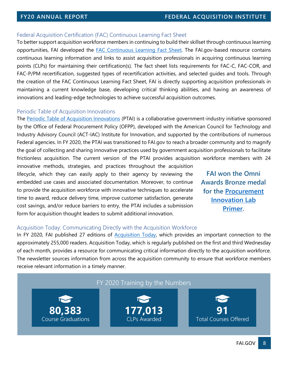### Federal Acquisition Certification (FAC) Continuous Learning Fact Sheet

To better support acquisition workforce members in continuing to build their skillset through continuous learning opportunities, FAI developed the [FAC Continuous Learning Fact Sheet.](https://www.fai.gov/page/federal-acquisition-certification-fac-continuous-learning-cl) The FAI.gov-based resource contains continuous learning information and links to assist acquisition professionals in acquiring continuous learning points (CLPs) for maintaining their certification(s). The fact sheet lists requirements for FAC-C, FAC-COR, and FAC-P/PM recertification, suggested types of recertification activities, and selected guides and tools. Through the creation of the FAC Continuous Learning Fact Sheet, FAI is directly supporting acquisition professionals in maintaining a current knowledge base, developing critical thinking abilities, and having an awareness of innovations and leading-edge technologies to achieve successful acquisition outcomes.

### Periodic Table of Acquisition Innovations

The [Periodic Table of Acquisition Innovations](https://www.fai.gov/periodic-table/) (PTAI) is a collaborative government-industry initiative sponsored by the Office of Federal Procurement Policy (OFPP), developed with the American Council for Technology and Industry Advisory Council (ACT-IAC) Institute for Innovation, and supported by the contributions of numerous Federal agencies. In FY 2020, the PTAI was transitioned to FAI.gov to reach a broader community and to magnify the goal of collecting and sharing innovative practices used by government acquisition professionals to facilitate frictionless acquisition. The current version of the PTAI provides acquisition workforce members with 24

innovative methods, strategies, and practices throughout the acquisition lifecycle, which they can easily apply to their agency by reviewing the embedded use cases and associated documentation. Moreover, to continue to provide the acquisition workforce with innovative techniques to accelerate time to award, reduce delivery time, improve customer satisfaction, generate cost savings, and/or reduce barriers to entry, the PTAI includes a submission form for acquisition thought leaders to submit additional innovation.

**FAI won the Omni Awards Bronze medal for the [Procurement](https://www.fai.gov/media-library/item/procurement-innovation-lab-pil-primer)  [Innovation Lab](https://www.fai.gov/media-library/item/procurement-innovation-lab-pil-primer)  [Primer.](https://www.fai.gov/media-library/item/procurement-innovation-lab-pil-primer)**

### Acquisition Today: Communicating Directly with the Acquisition Workforce

In FY 2020, FAI published 27 editions of [Acquisition Today,](https://www.fai.gov/resources/acquisition-today) which provides an important connection to the approximately 255,000 readers. Acquisition Today, which is regularly published on the first and third Wednesday of each month, provides a resource for communicating critical information directly to the acquisition workforce. The newsletter sources information from across the acquisition community to ensure that workforce members receive relevant information in a timely manner.

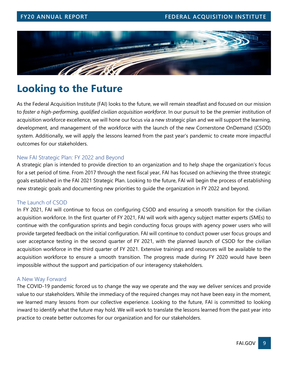

# **Looking to the Future**

As the Federal Acquisition Institute (FAI) looks to the future, we will remain steadfast and focused on our mission to *foster a high-performing, qualified civilian acquisition workforce*. In our pursuit to be the premier institution of acquisition workforce excellence, we will hone our focus via a new strategic plan and we will support the learning, development, and management of the workforce with the launch of the new Cornerstone OnDemand (CSOD) system. Additionally, we will apply the lessons learned from the past year's pandemic to create more impactful outcomes for our stakeholders.

### New FAI Strategic Plan: FY 2022 and Beyond

A strategic plan is intended to provide direction to an organization and to help shape the organization's focus for a set period of time. From 2017 through the next fiscal year, FAI has focused on achieving the three strategic goals established in the FAI 2021 Strategic Plan. Looking to the future, FAI will begin the process of establishing new strategic goals and documenting new priorities to guide the organization in FY 2022 and beyond.

### The Launch of CSOD

In FY 2021, FAI will continue to focus on configuring CSOD and ensuring a smooth transition for the civilian acquisition workforce. In the first quarter of FY 2021, FAI will work with agency subject matter experts (SMEs) to continue with the configuration sprints and begin conducting focus groups with agency power users who will provide targeted feedback on the initial configuration. FAI will continue to conduct power user focus groups and user acceptance testing in the second quarter of FY 2021, with the planned launch of CSOD for the civilian acquisition workforce in the third quarter of FY 2021. Extensive trainings and resources will be available to the acquisition workforce to ensure a smooth transition. The progress made during FY 2020 would have been impossible without the support and participation of our interagency stakeholders.

### A New Way Forward

The COVID-19 pandemic forced us to change the way we operate and the way we deliver services and provide value to our stakeholders. While the immediacy of the required changes may not have been easy in the moment, we learned many lessons from our collective experience. Looking to the future, FAI is committed to looking inward to identify what the future may hold. We will work to translate the lessons learned from the past year into practice to create better outcomes for our organization and for our stakeholders.